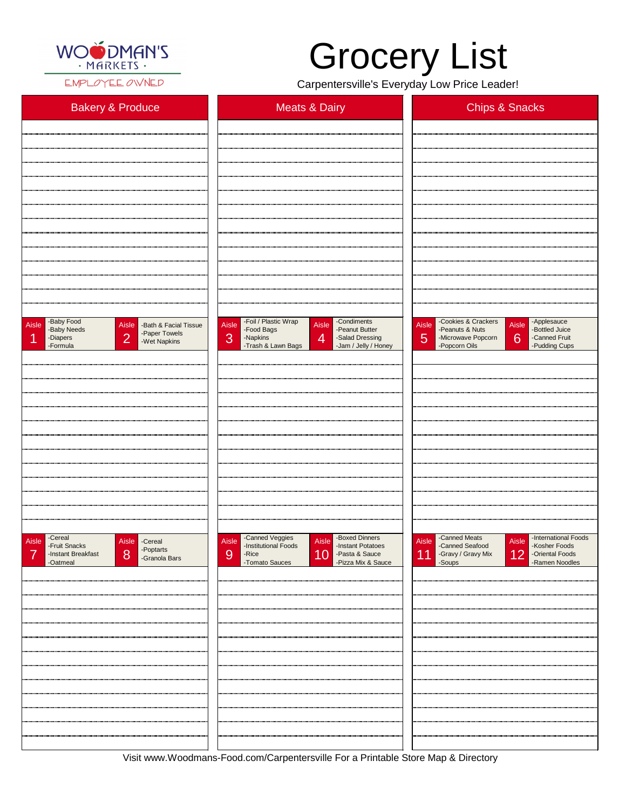

EMPLOYEE OWNED

| <b>Bakery &amp; Produce</b>                                                                                                                  | <b>Meats &amp; Dairy</b>                                                                                                                                                                  | <b>Chips &amp; Snacks</b>                                                                                                                                                                          |
|----------------------------------------------------------------------------------------------------------------------------------------------|-------------------------------------------------------------------------------------------------------------------------------------------------------------------------------------------|----------------------------------------------------------------------------------------------------------------------------------------------------------------------------------------------------|
|                                                                                                                                              |                                                                                                                                                                                           |                                                                                                                                                                                                    |
|                                                                                                                                              |                                                                                                                                                                                           |                                                                                                                                                                                                    |
|                                                                                                                                              |                                                                                                                                                                                           |                                                                                                                                                                                                    |
|                                                                                                                                              |                                                                                                                                                                                           |                                                                                                                                                                                                    |
|                                                                                                                                              |                                                                                                                                                                                           |                                                                                                                                                                                                    |
|                                                                                                                                              |                                                                                                                                                                                           |                                                                                                                                                                                                    |
|                                                                                                                                              |                                                                                                                                                                                           |                                                                                                                                                                                                    |
|                                                                                                                                              |                                                                                                                                                                                           |                                                                                                                                                                                                    |
|                                                                                                                                              |                                                                                                                                                                                           |                                                                                                                                                                                                    |
|                                                                                                                                              |                                                                                                                                                                                           |                                                                                                                                                                                                    |
|                                                                                                                                              |                                                                                                                                                                                           |                                                                                                                                                                                                    |
|                                                                                                                                              |                                                                                                                                                                                           |                                                                                                                                                                                                    |
| -Baby Food<br>Aisle<br>Aisle -Bath & Facial Tissue<br>-Baby Needs<br>-Paper Towels<br>$\overline{2}$<br>-Diapers<br>-Wet Napkins<br>-Formula | -Foil / Plastic Wrap<br>-Condiments<br>Aisle<br>Aisle<br>-Peanut Butter<br>-Food Bags<br>3<br>-Napkins<br>$\overline{4}$<br>-Salad Dressing<br>-Trash & Lawn Bags<br>-Jam / Jelly / Honey | -Cookies & Crackers<br>-Applesauce<br>Aisle<br><b>Aisle</b><br>-Bottled Juice<br>-Peanuts & Nuts<br>5<br>$6 \overline{6}$<br>-Canned Fruit<br>-Microwave Popcorn<br>-Popcorn Oils<br>-Pudding Cups |
|                                                                                                                                              |                                                                                                                                                                                           |                                                                                                                                                                                                    |
|                                                                                                                                              |                                                                                                                                                                                           |                                                                                                                                                                                                    |
|                                                                                                                                              |                                                                                                                                                                                           |                                                                                                                                                                                                    |
|                                                                                                                                              |                                                                                                                                                                                           |                                                                                                                                                                                                    |
|                                                                                                                                              |                                                                                                                                                                                           |                                                                                                                                                                                                    |
|                                                                                                                                              |                                                                                                                                                                                           |                                                                                                                                                                                                    |
|                                                                                                                                              |                                                                                                                                                                                           |                                                                                                                                                                                                    |
|                                                                                                                                              |                                                                                                                                                                                           |                                                                                                                                                                                                    |
|                                                                                                                                              |                                                                                                                                                                                           |                                                                                                                                                                                                    |
|                                                                                                                                              |                                                                                                                                                                                           |                                                                                                                                                                                                    |
|                                                                                                                                              |                                                                                                                                                                                           |                                                                                                                                                                                                    |
| -Cereal<br>Aisle<br>Aisle -Cereal                                                                                                            | -Canned Veggies<br>-Institutional Foods<br>-Boxed Dinners<br>Aisle<br>Aisle                                                                                                               | -Canned Meats<br>-International Foods<br>Aisle<br>Aisle                                                                                                                                            |
| -Fruit Snacks<br>$\blacksquare$ -Poptarts<br>$\overline{\phantom{0}}$                                                                        | -Instant Potatoes<br>$\overline{ }$                                                                                                                                                       | -Canned Seafood<br>-Kosher Foods<br>$\overline{1}$                                                                                                                                                 |

| -Poptarts<br>-Granola Bars<br>8<br>-Instant Breakfast<br>-Oatmeal | 10 - Pasta & Sauce<br>- Pizza Mix & Sauce<br>9<br>-Rice<br>-Tomato Sauces | 11 -Gravy / Gravy Mix 12 -Oriental Foods<br>-Soups - Soups - Ramen Noodles |
|-------------------------------------------------------------------|---------------------------------------------------------------------------|----------------------------------------------------------------------------|
|                                                                   |                                                                           |                                                                            |
|                                                                   |                                                                           |                                                                            |
|                                                                   |                                                                           |                                                                            |
|                                                                   |                                                                           |                                                                            |
|                                                                   |                                                                           |                                                                            |
|                                                                   |                                                                           |                                                                            |
|                                                                   |                                                                           |                                                                            |
|                                                                   |                                                                           |                                                                            |
|                                                                   |                                                                           |                                                                            |
|                                                                   |                                                                           |                                                                            |
|                                                                   |                                                                           |                                                                            |

Visit www.Woodmans-Food.com/Carpentersville For a Printable Store Map & Directory

## Grocery List

Carpentersville's Everyday Low Price Leader!